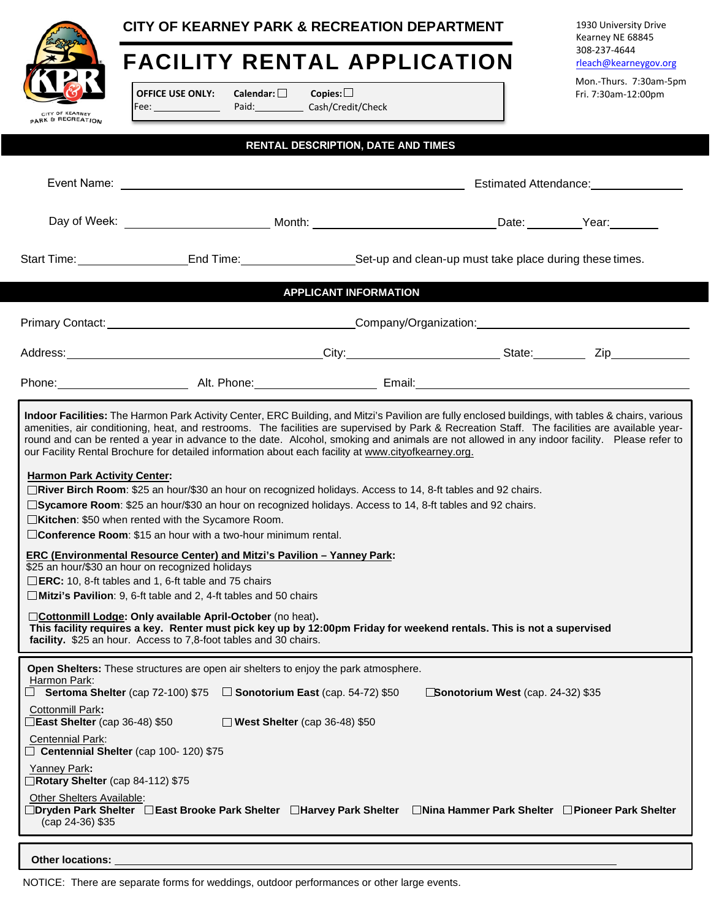|                                                                                                                                                                                                                                                                                                                                                                                                                                                                                                                                                                                                                                                                                                                                                                                                                                                                                                                                                                                                                                                                                                                                                                                  | CITY OF KEARNEY PARK & RECREATION DEPARTMENT                                                                                  |                                           |  | 1930 University Drive<br>Kearney NE 68845     |  |  |
|----------------------------------------------------------------------------------------------------------------------------------------------------------------------------------------------------------------------------------------------------------------------------------------------------------------------------------------------------------------------------------------------------------------------------------------------------------------------------------------------------------------------------------------------------------------------------------------------------------------------------------------------------------------------------------------------------------------------------------------------------------------------------------------------------------------------------------------------------------------------------------------------------------------------------------------------------------------------------------------------------------------------------------------------------------------------------------------------------------------------------------------------------------------------------------|-------------------------------------------------------------------------------------------------------------------------------|-------------------------------------------|--|-----------------------------------------------|--|--|
|                                                                                                                                                                                                                                                                                                                                                                                                                                                                                                                                                                                                                                                                                                                                                                                                                                                                                                                                                                                                                                                                                                                                                                                  | <b>FACILITY RENTAL APPLICATION</b>                                                                                            |                                           |  | 308-237-4644<br>rleach@kearneygov.org         |  |  |
| CITY OF KEARNEY<br><b>PARK &amp; RECREATION</b>                                                                                                                                                                                                                                                                                                                                                                                                                                                                                                                                                                                                                                                                                                                                                                                                                                                                                                                                                                                                                                                                                                                                  | <b>OFFICE USE ONLY:</b><br>Calendar: $\Box$<br>Fee: <u>Discover</u>                                                           | Copies: $\Box$<br>Paid: Cash/Credit/Check |  | Mon.-Thurs. 7:30am-5pm<br>Fri. 7:30am-12:00pm |  |  |
|                                                                                                                                                                                                                                                                                                                                                                                                                                                                                                                                                                                                                                                                                                                                                                                                                                                                                                                                                                                                                                                                                                                                                                                  |                                                                                                                               | <b>RENTAL DESCRIPTION, DATE AND TIMES</b> |  |                                               |  |  |
|                                                                                                                                                                                                                                                                                                                                                                                                                                                                                                                                                                                                                                                                                                                                                                                                                                                                                                                                                                                                                                                                                                                                                                                  | Estimated Attendance: _______________                                                                                         |                                           |  |                                               |  |  |
|                                                                                                                                                                                                                                                                                                                                                                                                                                                                                                                                                                                                                                                                                                                                                                                                                                                                                                                                                                                                                                                                                                                                                                                  |                                                                                                                               |                                           |  |                                               |  |  |
|                                                                                                                                                                                                                                                                                                                                                                                                                                                                                                                                                                                                                                                                                                                                                                                                                                                                                                                                                                                                                                                                                                                                                                                  | Start Time: _______________________End Time: _________________________Set-up and clean-up must take place during these times. |                                           |  |                                               |  |  |
|                                                                                                                                                                                                                                                                                                                                                                                                                                                                                                                                                                                                                                                                                                                                                                                                                                                                                                                                                                                                                                                                                                                                                                                  |                                                                                                                               | <b>APPLICANT INFORMATION</b>              |  |                                               |  |  |
|                                                                                                                                                                                                                                                                                                                                                                                                                                                                                                                                                                                                                                                                                                                                                                                                                                                                                                                                                                                                                                                                                                                                                                                  | Primary Contact: Network and Company/Organization: Network and Company/Organization:                                          |                                           |  |                                               |  |  |
|                                                                                                                                                                                                                                                                                                                                                                                                                                                                                                                                                                                                                                                                                                                                                                                                                                                                                                                                                                                                                                                                                                                                                                                  |                                                                                                                               |                                           |  |                                               |  |  |
|                                                                                                                                                                                                                                                                                                                                                                                                                                                                                                                                                                                                                                                                                                                                                                                                                                                                                                                                                                                                                                                                                                                                                                                  |                                                                                                                               |                                           |  |                                               |  |  |
| round and can be rented a year in advance to the date. Alcohol, smoking and animals are not allowed in any indoor facility. Please refer to<br>our Facility Rental Brochure for detailed information about each facility at www.cityofkearney.org.<br><b>Harmon Park Activity Center:</b><br>□River Birch Room: \$25 an hour/\$30 an hour on recognized holidays. Access to 14, 8-ft tables and 92 chairs.<br>□ Sycamore Room: \$25 an hour/\$30 an hour on recognized holidays. Access to 14, 8-ft tables and 92 chairs.<br>□Kitchen: \$50 when rented with the Sycamore Room.<br>□ Conference Room: \$15 an hour with a two-hour minimum rental.<br>ERC (Environmental Resource Center) and Mitzi's Pavilion - Yanney Park:<br>\$25 an hour/\$30 an hour on recognized holidays<br>□ ERC: 10, 8-ft tables and 1, 6-ft table and 75 chairs<br>$\Box$ Mitzi's Pavilion: 9, 6-ft table and 2, 4-ft tables and 50 chairs<br>Cottonmill Lodge: Only available April-October (no heat).<br>This facility requires a key. Renter must pick key up by 12:00pm Friday for weekend rentals. This is not a supervised<br>facility. \$25 an hour. Access to 7,8-foot tables and 30 chairs. |                                                                                                                               |                                           |  |                                               |  |  |
| Open Shelters: These structures are open air shelters to enjoy the park atmosphere.<br>Harmon Park:<br>$\Box$ Sertoma Shelter (cap 72-100) \$75 $\Box$ Sonotorium East (cap. 54-72) \$50<br>Sonotorium West (cap. 24-32) \$35<br><b>Cottonmill Park:</b><br>East Shelter (cap 36-48) \$50<br>$\Box$ West Shelter (cap 36-48) \$50<br>Centennial Park:<br>Centennial Shelter (cap 100-120) \$75<br>Yanney Park:<br>Rotary Shelter (cap 84-112) \$75<br>Other Shelters Available:<br>_Dryden Park Shelter __East Brooke Park Shelter __Harvey Park Shelter<br>□Nina Hammer Park Shelter □ Pioneer Park Shelter<br>(cap 24-36) \$35                                                                                                                                                                                                                                                                                                                                                                                                                                                                                                                                                 |                                                                                                                               |                                           |  |                                               |  |  |
| <b>Other locations:</b>                                                                                                                                                                                                                                                                                                                                                                                                                                                                                                                                                                                                                                                                                                                                                                                                                                                                                                                                                                                                                                                                                                                                                          |                                                                                                                               |                                           |  |                                               |  |  |

NOTICE: There are separate forms for weddings, outdoor performances or other large events.